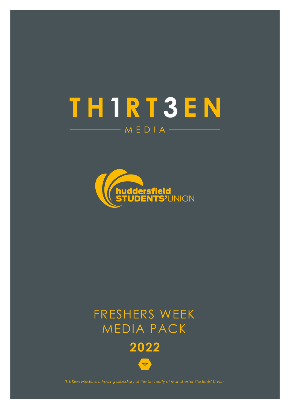# TH1RT3EN  $-MEDIA$



# FRESHERS WEEK MEDIA PACK **2022**

*Th1rt3en Media is a trading subsidiary of the University of Manchester Students' Union.*

¥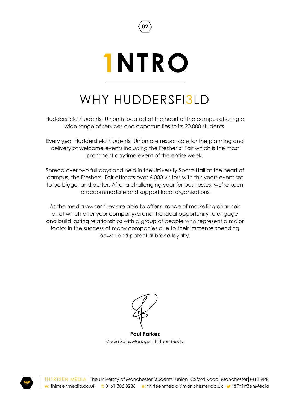

# **INTRO**

# WHY HUDDERSFI3LD

Huddersfield Students' Union is located at the heart of the campus offering a wide range of services and opportunities to its 20,000 students.

Every year Huddersfield Students' Union are responsible for the planning and delivery of welcome events including the Fresher's' Fair which is the most prominent daytime event of the entire week.

Spread over two full days and held in the University Sports Hall at the heart of campus, the Freshers' Fair attracts over 6,000 visitors with this years event set to be bigger and better. After a challenging year for businesses, we're keen to accommodate and support local organisations.

As the media owner they are able to offer a range of marketing channels all of which offer your company/brand the ideal opportunity to engage and build lasting relationships with a group of people who represent a major factor in the success of many companies due to their immense spending power and potential brand loyalty.

**Paul Parkes** Media Sales Manager Thirteen Media

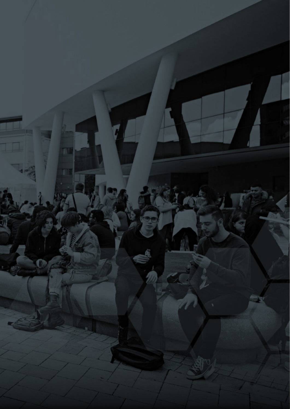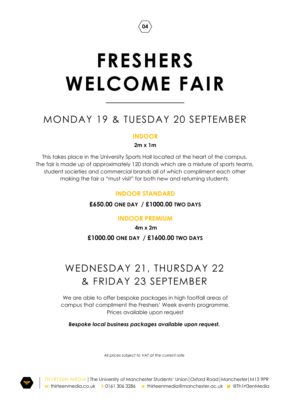

# **FRESHERS WELCOME FAIR**

## MONDAY 19 & TUESDAY 20 SEPTEMBER

#### **INDOOR**

**2m x 1m**

This takes place in the University Sports Hall located at the heart of the campus. The fair is made up of approximately 120 stands which are a mixture of sports teams, student societies and commercial brands all of which compliment each other making the fair a "must visit" for both new and returning students.

#### **INDOOR STANDARD**

#### **£650.00 ONE DAY / £1000.00 TWO DAYS**

#### **INDOOR PREMIUM**

 **4m x 2m £1000.00 ONE DAY / £1600.00 TWO DAYS**

## WEDNESDAY 21, THURSDAY 22 & FRIDAY 23 SEPTEMBER

We are able to offer bespoke packages in high footfall areas of campus that compliment the Freshers' Week events programme. Prices available upon request

*Bespoke local business packages available upon request.*

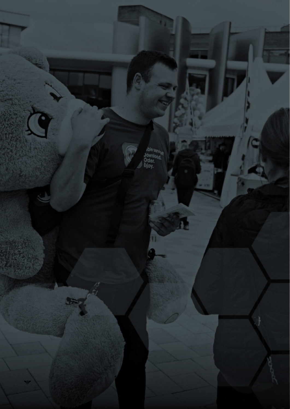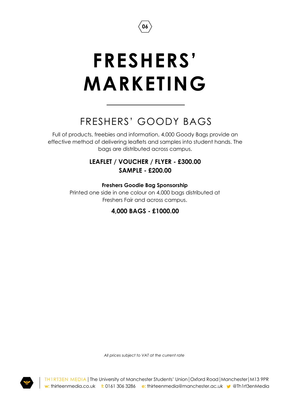

# **FRESHERS' MARKETING**

## FRESHERS' GOODY BAGS

Full of products, freebies and information, 4,000 Goody Bags provide an effective method of delivering leaflets and samples into student hands. The bags are distributed across campus.

#### **LEAFLET / VOUCHER / FLYER - £300.00 SAMPLE - £200.00**

#### **Freshers Goodie Bag Sponsorship**

Printed one side in one colour on 4,000 bags distributed at Freshers Fair and across campus.

**4,000 BAGS - £1000.00** 

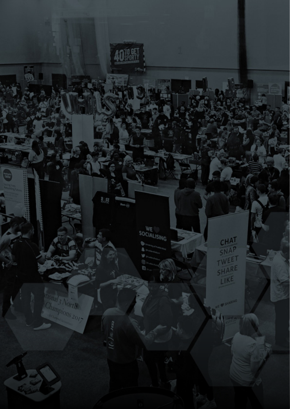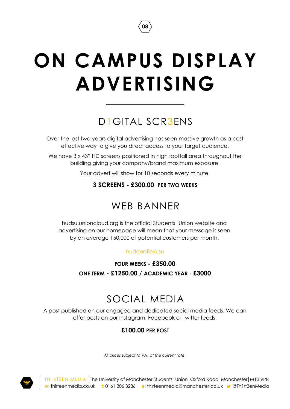# **ON CAMPUS DISPLAY ADVERTISING**

**08**

## D1GITAL SCR3ENS

Over the last two years digital advertising has seen massive growth as a cost effective way to give you direct access to your target audience.

We have 3 x 43" HD screens positioned in high footfall area throughout the building giving your company/brand maximum exposure.

Your advert will show for 10 seconds every minute.

#### **3 SCREENS - £300.00 PER TWO WEEKS**

## WEB BANNER

hudsu.unioncloud.org is the official Students' Union website and advertising on our homepage will mean that your message is seen by an average 150,000 of potential customers per month.

#### huddersfield.su

**FOUR WEEKS - £350.00 ONE TERM - £1250.00 / ACADEMIC YEAR - £3000**

### SOCIAL MEDIA

A post published on our engaged and dedicated social media feeds. We can offer posts on our Instagram, Facebook or Twitter feeds.

#### **£100.00 PER POST**

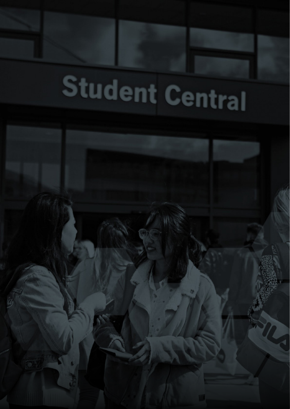# Student Central

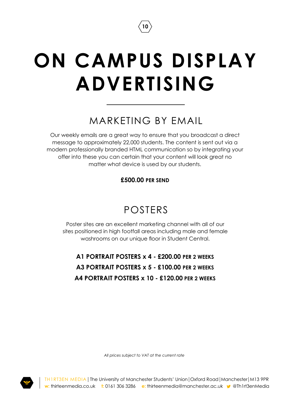# **ON CAMPUS DISPLAY ADVERTISING**

**10**

## MARKETING BY EMAIL

Our weekly emails are a great way to ensure that you broadcast a direct message to approximately 22,000 students. The content is sent out via a modern professionally branded HTML communication so by integrating your offer into these you can certain that your content will look great no matter what device is used by our students.

#### **£500.00 PER SEND**

# POSTERS

Poster sites are an excellent marketing channel with all of our sites positioned in high footfall areas including male and female washrooms on our unique floor in Student Central.

**A1 PORTRAIT POSTERS x 4 - £200.00 PER 2 WEEKS A3 PORTRAIT POSTERS x 5 - £100.00 PER 2 WEEKS A4 PORTRAIT POSTERS x 10 - £120.00 PER 2 WEEKS**

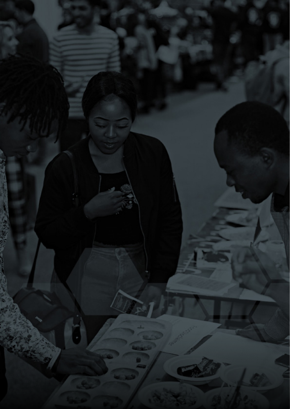